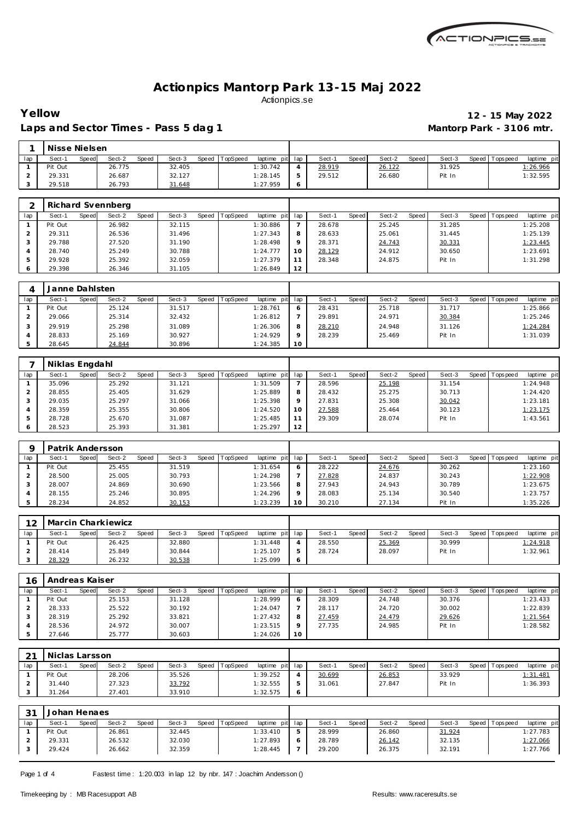

## Laps and Sector Times - Pass 5 dag 1 **Mantorp Park - 3106 mtr.**

# **Yellow 12 - 15 May 2022**

|     | Nisse Nielsen |       |        |       |        |       |          |                 |        |       |        |       |        |                   |                 |
|-----|---------------|-------|--------|-------|--------|-------|----------|-----------------|--------|-------|--------|-------|--------|-------------------|-----------------|
| lap | Sect-′        | Speed | Sect-2 | Speed | Sect-3 | Speed | TopSpeed | laptime pit lap | Sect-1 | Speed | Sect-2 | Speed | Sect-3 | Speed   Tops peed | laptime pit     |
|     | Pit Out       |       | 26.775 |       | 32.405 |       |          | 1:30.742        | 28.919 |       | 26.122 |       | 31.925 |                   | <u>1:26.966</u> |
|     | 29.331        |       | 26.687 |       | 32.127 |       |          | 1:28.145        | 29.512 |       | 26.680 |       | Pit In |                   | 1:32.595        |
|     | 29.518        |       | 26.793 |       | 31.648 |       |          | 1:27.959        |        |       |        |       |        |                   |                 |

|     |         | Richard Svennberg               |                 |                                |         |                        |                 |                 |                           |
|-----|---------|---------------------------------|-----------------|--------------------------------|---------|------------------------|-----------------|-----------------|---------------------------|
| lap | Sect-1  | Sect-2<br><b>Speed</b><br>Speed | Sect-3<br>Speed | <b>TopSpeed</b><br>laptime pit | lap     | <b>Speed</b><br>Sect-1 | Sect-2<br>Speed | Sect-3<br>Speed | Tops pee d<br>laptime pit |
|     | Pit Out | 26.982                          | 32.115          | 1:30.886                       |         | 28.678                 | 25.245          | 31.285          | 1:25.208                  |
|     | 29.311  | 26.536                          | 31.496          | 1:27.343                       | 8       | 28.633                 | 25.061          | 31.445          | 1:25.139                  |
|     | 29.788  | 27.520                          | 31.190          | 1:28.498                       | $\circ$ | 28.371                 | 24.743          | 30.331          | 1:23.445                  |
|     | 28.740  | 25.249                          | 30.788          | 1:24.777                       | 10      | 28.129                 | 24.912          | 30.650          | 1:23.691                  |
|     | 29.928  | 25.392                          | 32.059          | 1:27.379                       |         | 28.348                 | 24.875          | Pit In          | 1:31.298                  |
| 6   | 29.398  | 26.346                          | 31.105          | 1:26.849                       | 12      |                        |                 |                 |                           |

|     | Janne Dahlsten |       |        |       |        |       |          |                 |          |        |       |        |       |        |                 |             |
|-----|----------------|-------|--------|-------|--------|-------|----------|-----------------|----------|--------|-------|--------|-------|--------|-----------------|-------------|
| lap | Sect-1         | Speed | Sect-2 | Speed | Sect-3 | Speed | TopSpeed | laptime pit lap |          | Sect-1 | Speed | Sect-2 | Speed | Sect-3 | Speed Tops peed | laptime pit |
|     | Pit Out        |       | 25.124 |       | 31.517 |       |          | 1:28.761        |          | 28.431 |       | 25.718 |       | 31.717 |                 | 1:25.866    |
|     | 29.066         |       | 25.314 |       | 32.432 |       |          | 1:26.812        |          | 29.891 |       | 24.971 |       | 30.384 |                 | 1:25.246    |
|     | 29.919         |       | 25.298 |       | 31.089 |       |          | 1:26.306        |          | 28.210 |       | 24.948 |       | 31.126 |                 | 1:24.284    |
|     | 28.833         |       | 25.169 |       | 30.927 |       |          | 1:24.929        | $\Omega$ | 28.239 |       | 25.469 |       | Pit In |                 | 1:31.039    |
|     | 28.645         |       | 24.844 |       | 30.896 |       |          | 1:24.385        | 10       |        |       |        |       |        |                 |             |

|     | Niklas Engdahl  |                 |                 |                         |     |                        |                 |        |                               |
|-----|-----------------|-----------------|-----------------|-------------------------|-----|------------------------|-----------------|--------|-------------------------------|
| lap | Sect-1<br>Speed | Sect-2<br>Speed | Sect-3<br>Speed | TopSpeed<br>laptime pit | lap | Sect-1<br><b>Speed</b> | Sect-2<br>Speed | Sect-3 | Speed Topspeed<br>laptime pit |
|     | 35.096          | 25.292          | 31.121          | 1:31.509                |     | 28.596                 | 25.198          | 31.154 | 1:24.948                      |
|     | 28.855          | 25.405          | 31.629          | 1:25.889                | 8   | 28.432                 | 25.275          | 30.713 | 1:24.420                      |
|     | 29.035          | 25.297          | 31.066          | 1:25.398                | 9   | 27.831                 | 25.308          | 30.042 | 1:23.181                      |
|     | 28.359          | 25.355          | 30.806          | 1:24.520                | 10  | 27.588                 | 25.464          | 30.123 | 1:23.175                      |
|     | 28.728          | 25.670          | 31.087          | 1:25.485                | 11  | 29.309                 | 28.074          | Pit In | 1:43.561                      |
|     | 28.523          | 25.393          | 31.381          | 1:25.297                | 12  |                        |                 |        |                               |

|     | Patrik Andersson |       |        |       |        |       |                 |             |     |        |       |        |         |        |         |            |             |
|-----|------------------|-------|--------|-------|--------|-------|-----------------|-------------|-----|--------|-------|--------|---------|--------|---------|------------|-------------|
| lap | Sect-1           | Speed | Sect-2 | Speed | Sect-3 | Speed | <b>TopSpeed</b> | laptime pit | lap | Sect-1 | Speed | Sect-2 | Speed I | Sect-3 | Speed I | Tops pee d | laptime pit |
|     | Pit Out          |       | 25.455 |       | 31.519 |       |                 | 1:31.654    |     | 28.222 |       | 24.676 |         | 30.262 |         |            | 1:23.160    |
|     | 28.500           |       | 25.005 |       | 30.793 |       |                 | 1:24.298    |     | 27.828 |       | 24.837 |         | 30.243 |         |            | 1:22.908    |
|     | 28.007           |       | 24.869 |       | 30.690 |       |                 | 1:23.566    |     | 27.943 |       | 24.943 |         | 30.789 |         |            | 1:23.675    |
|     | 28.155           |       | 25.246 |       | 30.895 |       |                 | 1:24.296    |     | 28.083 |       | 25.134 |         | 30.540 |         |            | 1:23.757    |
|     | 28.234           |       | 24.852 |       | 30.153 |       |                 | 1:23.239    | 10  | 30.210 |       | 27.134 |         | Pit In |         |            | 1:35.226    |

| 12  |         |       | Marcin Charkiewicz |       |        |       |          |                 |   |        |              |        |       |        |                 |             |
|-----|---------|-------|--------------------|-------|--------|-------|----------|-----------------|---|--------|--------------|--------|-------|--------|-----------------|-------------|
| lap | Sect-1  | Speed | Sect-2             | Speed | Sect-3 | Speed | TopSpeed | laptime pit lap |   | Sect-  | <b>Speed</b> | Sect-2 | Speed | Sect-3 | Speed Tops peed | laptime pit |
|     | Pit Out |       | 26.425             |       | 32.880 |       |          | 1:31.448        |   | 28.550 |              | 25.369 |       | 30.999 |                 | 1:24.918    |
|     | 28.414  |       | 25.849             |       | 30.844 |       |          | 1:25.107        |   | 28.724 |              | 28.097 |       | Pit In |                 | 1:32.961    |
|     | 28.329  |       | 26.232             |       | 30.538 |       |          | 1:25.099        | Ô |        |              |        |       |        |                 |             |

| 16  | Andreas Kaiser |       |        |       |        |       |          |             |     |        |       |        |       |        |                 |                |
|-----|----------------|-------|--------|-------|--------|-------|----------|-------------|-----|--------|-------|--------|-------|--------|-----------------|----------------|
| lap | Sect-1         | Speed | Sect-2 | Speed | Sect-3 | Speed | TopSpeed | laptime pit | lap | Sect-  | Speed | Sect-2 | Speed | Sect-3 | Speed Tops peed | laptime<br>pit |
|     | Pit Out        |       | 25.153 |       | 31.128 |       |          | 1:28.999    | 6   | 28.309 |       | 24.748 |       | 30.376 |                 | 1:23.433       |
|     | 28.333         |       | 25.522 |       | 30.192 |       |          | 1:24.047    |     | 28.117 |       | 24.720 |       | 30.002 |                 | 1:22.839       |
|     | 28.319         |       | 25.292 |       | 33.821 |       |          | 1:27.432    | 8   | 27.459 |       | 24.479 |       | 29.626 |                 | 1:21.564       |
|     | 28.536         |       | 24.972 |       | 30.007 |       |          | 1:23.515    | o   | 27.735 |       | 24.985 |       | Pit In |                 | 1:28.582       |
|     | 27.646         |       | 25.777 |       | 30.603 |       |          | 1:24.026    | 10  |        |       |        |       |        |                 |                |

| $\bigcap$ | Niclas Larsson |       |        |       |        |       |          |                 |        |       |        |         |        |                 |             |
|-----------|----------------|-------|--------|-------|--------|-------|----------|-----------------|--------|-------|--------|---------|--------|-----------------|-------------|
| lap       | Sect-′         | Speed | Sect-2 | Speed | Sect-3 | Speed | TopSpeed | laptime pit lap | Sect-1 | Speed | Sect-2 | Speed I | Sect-3 | Speed Tops peed | laptime pit |
|           | Pit Out        |       | 28.206 |       | 35.526 |       |          | 1:39.252        | 30.699 |       | 26.853 |         | 33.929 |                 | 1:31.481    |
|           | 31.440         |       | 27.323 |       | 33.792 |       |          | 1:32.555        | 31.061 |       | 27.847 |         | Pit In |                 | 1:36.393    |
|           | 31.264         |       | 27.401 |       | 33.910 |       |          | 1:32.575        |        |       |        |         |        |                 |             |

| つっ  | Johan Henaes |       |        |       |        |       |          |                 |        |       |        |       |        |                 |             |
|-----|--------------|-------|--------|-------|--------|-------|----------|-----------------|--------|-------|--------|-------|--------|-----------------|-------------|
| lap | Sect-1       | Speed | Sect-2 | Speed | Sect-3 | Speed | TopSpeed | laptime pit lap | Sect-1 | Speed | Sect-2 | Speed | Sect-3 | Speed Tops peed | laptime pit |
|     | Pit Out      |       | 26.861 |       | 32.445 |       |          | 1:33.410        | 28.999 |       | 26.860 |       | 31.924 |                 | 1:27.783    |
|     | 29.331       |       | 26.532 |       | 32.030 |       |          | 1:27.893        | 28.789 |       | 26.142 |       | 32.135 |                 | 1:27.066    |
|     | 29.424       |       | 26.662 |       | 32.359 |       |          | 1:28.445        | 29.200 |       | 26.375 |       | 32.191 |                 | 1:27.766    |

Page 1 of 4 Fastest time: 1:20.003 in lap 12 by nbr. 147 : Joachim Andersson ()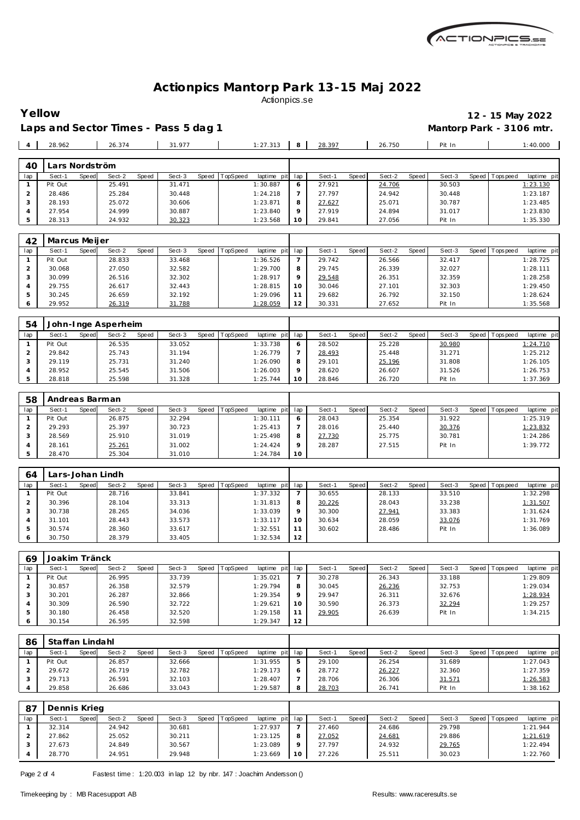

Laps and Sector Times - Pass 5 dag 1 **Mantorp Park - 3106 mtr.** 

 27.954 24.999 30.887 1:23.840 5 28.313 24.932 30.323 1:23.568

**Yellow 12 - 15 May 2022**

 27.919 24.894 31.017 1:23.830 29.841 27.056 Pit In 1:35.330

|     | 28.962         |       | 26.374 |       | 31.977 |       |                 | 1:27.313        | 28.397 |       | 26.750 |       | Pit In |       |           | 1:40.000    |
|-----|----------------|-------|--------|-------|--------|-------|-----------------|-----------------|--------|-------|--------|-------|--------|-------|-----------|-------------|
|     |                |       |        |       |        |       |                 |                 |        |       |        |       |        |       |           |             |
| 40  | Lars Nordström |       |        |       |        |       |                 |                 |        |       |        |       |        |       |           |             |
| lap | Sect-1         | Speed | Sect-2 | Speed | Sect-3 | Speed | <b>TopSpeed</b> | laptime pit lap | Sect-1 | Speed | Sect-2 | Speed | Sect-3 | Speed | Tops peed | laptime pit |
|     | Pit Out        |       | 25.491 |       | 31.471 |       |                 | 1:30.887        | 27.921 |       | 24.706 |       | 30.503 |       |           | 1:23.130    |
|     | 28.486         |       | 25.284 |       | 30.448 |       |                 | 1:24.218        | 27.797 |       | 24.942 |       | 30.448 |       |           | 1:23.187    |
|     |                |       |        |       |        |       |                 |                 |        |       |        |       |        |       |           |             |
| - 0 | 28.193         |       | 25.072 |       | 30.606 |       |                 | 1:23.871        | 27.627 |       | 25.071 |       | 30.787 |       |           | 1:23.485    |

| 42  | Marcus Meijer |       |        |       |        |       |                 |             |          |        |       |        |       |        |                |             |
|-----|---------------|-------|--------|-------|--------|-------|-----------------|-------------|----------|--------|-------|--------|-------|--------|----------------|-------------|
| lap | Sect-1        | Speed | Sect-2 | Speed | Sect-3 | Speed | <b>TopSpeed</b> | laptime pit | lap      | Sect-1 | Speed | Sect-2 | Speed | Sect-3 | Speed Topspeed | laptime pit |
|     | Pit Out       |       | 28.833 |       | 33.468 |       |                 | 1:36.526    |          | 29.742 |       | 26.566 |       | 32.417 |                | 1:28.725    |
|     | 30.068        |       | 27.050 |       | 32.582 |       |                 | 1:29.700    | 8        | 29.745 |       | 26.339 |       | 32.027 |                | 1:28.111    |
|     | 30.099        |       | 26.516 |       | 32.302 |       |                 | 1:28.917    | $\Omega$ | 29.548 |       | 26.351 |       | 32.359 |                | 1:28.258    |
|     | 29.755        |       | 26.617 |       | 32.443 |       |                 | 1:28.815    | 10       | 30.046 |       | 27.101 |       | 32.303 |                | 1:29.450    |
|     | 30.245        |       | 26.659 |       | 32.192 |       |                 | 1:29.096    |          | 29.682 |       | 26.792 |       | 32.150 |                | 1:28.624    |
| O   | 29.952        |       | 26.319 |       | 31.788 |       |                 | 1:28.059    | 12       | 30.331 |       | 27.652 |       | Pit In |                | 1:35.568    |

| 54  |         |       | John-Inge Asperheim |       |        |       |          |             |         |        |       |        |       |        |       |            |             |
|-----|---------|-------|---------------------|-------|--------|-------|----------|-------------|---------|--------|-------|--------|-------|--------|-------|------------|-------------|
| lap | Sect-1  | Speed | Sect-2              | Speed | Sect-3 | Speed | TopSpeed | laptime pit | lap     | Sect-1 | Speed | Sect-2 | Speed | Sect-3 | Speed | Tops pee d | laptime pit |
|     | Pit Out |       | 26.535              |       | 33.052 |       |          | 1:33.738    | 6       | 28.502 |       | 25.228 |       | 30.980 |       |            | 1:24.710    |
|     | 29.842  |       | 25.743              |       | 31.194 |       |          | 1:26.779    |         | 28.493 |       | 25.448 |       | 31.271 |       |            | 1:25.212    |
|     | 29.119  |       | 25.731              |       | 31.240 |       |          | 1:26.090    | 8       | 29.101 |       | 25.196 |       | 31.808 |       |            | 1:26.105    |
|     | 28.952  |       | 25.545              |       | 31.506 |       |          | 1:26.003    | $\circ$ | 28.620 |       | 26.607 |       | 31.526 |       |            | 1:26.753    |
|     | 28.818  |       | 25.598              |       | 31.328 |       |          | 1:25.744    | 10      | 28.846 |       | 26.720 |       | Pit In |       |            | 1:37.369    |

| 58  | Andreas Barman |       |        |       |        |       |          |             |         |        |       |        |       |        |       |            |             |
|-----|----------------|-------|--------|-------|--------|-------|----------|-------------|---------|--------|-------|--------|-------|--------|-------|------------|-------------|
| lap | Sect-1         | Speed | Sect-2 | Speed | Sect-3 | Speed | TopSpeed | laptime pit | lap     | Sect-  | Speed | Sect-2 | Speed | Sect-3 | Speed | Tops pee d | laptime pit |
|     | Pit Out        |       | 26.875 |       | 32.294 |       |          | 1:30.111    | 6       | 28.043 |       | 25.354 |       | 31.922 |       |            | 1:25.319    |
|     | 29.293         |       | 25.397 |       | 30.723 |       |          | 1:25.413    |         | 28.016 |       | 25.440 |       | 30.376 |       |            | 1:23.832    |
|     | 28.569         |       | 25.910 |       | 31.019 |       |          | 1:25.498    | 8       | 27.730 |       | 25.775 |       | 30.781 |       |            | 1:24.286    |
|     | 28.161         |       | 25.261 |       | 31.002 |       |          | 1:24.424    | $\circ$ | 28.287 |       | 27.515 |       | Pit In |       |            | 1:39.772    |
|     | 28.470         |       | 25.304 |       | 31.010 |       |          | 1:24.784    | 10      |        |       |        |       |        |       |            |             |

| 64  |         |       | Lars-Johan Lindh |       |        |       |                 |             |         |        |       |        |       |        |                 |             |
|-----|---------|-------|------------------|-------|--------|-------|-----------------|-------------|---------|--------|-------|--------|-------|--------|-----------------|-------------|
| lap | Sect-1  | Speed | Sect-2           | Speed | Sect-3 | Speed | <b>TopSpeed</b> | laptime pit | lap     | Sect-1 | Speed | Sect-2 | Speed | Sect-3 | Speed Tops peed | laptime pit |
|     | Pit Out |       | 28.716           |       | 33.841 |       |                 | 1:37.332    |         | 30.655 |       | 28.133 |       | 33.510 |                 | 1:32.298    |
|     | 30.396  |       | 28.104           |       | 33.313 |       |                 | 1:31.813    |         | 30.226 |       | 28.043 |       | 33.238 |                 | 1:31.507    |
| 3   | 30.738  |       | 28.265           |       | 34.036 |       |                 | 1:33.039    | $\circ$ | 30.300 |       | 27.941 |       | 33.383 |                 | 1:31.624    |
|     | 31.101  |       | 28.443           |       | 33.573 |       |                 | 1:33.117    | 1 O     | 30.634 |       | 28.059 |       | 33.076 |                 | 1:31.769    |
| ь   | 30.574  |       | 28.360           |       | 33.617 |       |                 | 1:32.551    |         | 30.602 |       | 28.486 |       | Pit In |                 | 1:36.089    |
| 6   | 30.750  |       | 28.379           |       | 33.405 |       |                 | 1:32.534    | 12      |        |       |        |       |        |                 |             |

| 69  | Joakim Tränck |       |        |       |        |       |          |                 |         |        |       |        |       |        |                |             |
|-----|---------------|-------|--------|-------|--------|-------|----------|-----------------|---------|--------|-------|--------|-------|--------|----------------|-------------|
| lap | Sect-1        | Speed | Sect-2 | Speed | Sect-3 | Speed | TopSpeed | laptime pit lap |         | Sect-1 | Speed | Sect-2 | Speed | Sect-3 | Speed Topspeed | laptime pit |
|     | Pit Out       |       | 26.995 |       | 33.739 |       |          | 1:35.021        |         | 30.278 |       | 26.343 |       | 33.188 |                | 1:29.809    |
|     | 30.857        |       | 26.358 |       | 32.579 |       |          | 1:29.794        | 8       | 30.045 |       | 26.236 |       | 32.753 |                | 1:29.034    |
|     | 30.201        |       | 26.287 |       | 32.866 |       |          | 1:29.354        | $\circ$ | 29.947 |       | 26.311 |       | 32.676 |                | 1:28.934    |
|     | 30.309        |       | 26.590 |       | 32.722 |       |          | 1:29.621        | 10      | 30.590 |       | 26.373 |       | 32.294 |                | 1:29.257    |
| ъ   | 30.180        |       | 26.458 |       | 32.520 |       |          | 1:29.158        |         | 29.905 |       | 26.639 |       | Pit In |                | 1:34.215    |
| 6   | 30.154        |       | 26.595 |       | 32.598 |       |          | 1:29.347        | 12      |        |       |        |       |        |                |             |

| 86  | Staffan Lindahl |       |        |       |        |                |             |     |        |              |        |       |        |       |          |             |
|-----|-----------------|-------|--------|-------|--------|----------------|-------------|-----|--------|--------------|--------|-------|--------|-------|----------|-------------|
| lap | Sect-1          | Speed | Sect-2 | Speed | Sect-3 | Speed TopSpeed | laptime pit | lap | Sect-1 | <b>Speed</b> | Sect-2 | Speed | Sect-3 | Speed | Topspeed | laptime pit |
|     | Pit Out         |       | 26.857 |       | 32.666 |                | 1:31.955    | 5   | 29.100 |              | 26.254 |       | 31.689 |       |          | 1:27.043    |
|     | 29.672          |       | 26.719 |       | 32.782 |                | 1:29.173    |     | 28.772 |              | 26.227 |       | 32.360 |       |          | 1:27.359    |
|     | 29.713          |       | 26.591 |       | 32.103 |                | 1:28.407    |     | 28.706 |              | 26.306 |       | 31.571 |       |          | 1:26.583    |
|     | 29.858          |       | 26.686 |       | 33.043 |                | 1:29.587    | 8   | 28.703 |              | 26.741 |       | Pit In |       |          | 1:38.162    |

| -87 | Dennis Krieg |       |        |       |        |       |                 |             |     |        |       |        |         |        |         |             |             |
|-----|--------------|-------|--------|-------|--------|-------|-----------------|-------------|-----|--------|-------|--------|---------|--------|---------|-------------|-------------|
| lap | Sect-1       | Speed | Sect-2 | Speed | Sect-3 | Speed | <b>TopSpeed</b> | laptime pit | lap | Sect-1 | Speed | Sect-2 | Speed I | Sect-3 | Speed I | T ops pee d | laptime pit |
|     | 32.314       |       | 24.942 |       | 30.681 |       |                 | 1:27.937    |     | 27.460 |       | 24.686 |         | 29.798 |         |             | 1:21.944    |
|     | 27.862       |       | 25.052 |       | 30.211 |       |                 | 1:23.125    |     | 27.052 |       | 24.681 |         | 29.886 |         |             | 1:21.619    |
|     | 27.673       |       | 24.849 |       | 30.567 |       |                 | 1:23.089    |     | 27.797 |       | 24.932 |         | 29.765 |         |             | 1:22.494    |
|     | 28.770       |       | 24.951 |       | 29.948 |       |                 | 1:23.669    | 10  | 27.226 |       | 25.511 |         | 30.023 |         |             | 1:22.760    |

Page 2 of 4 Fastest time: 1:20.003 in lap 12 by nbr. 147 : Joachim Andersson ()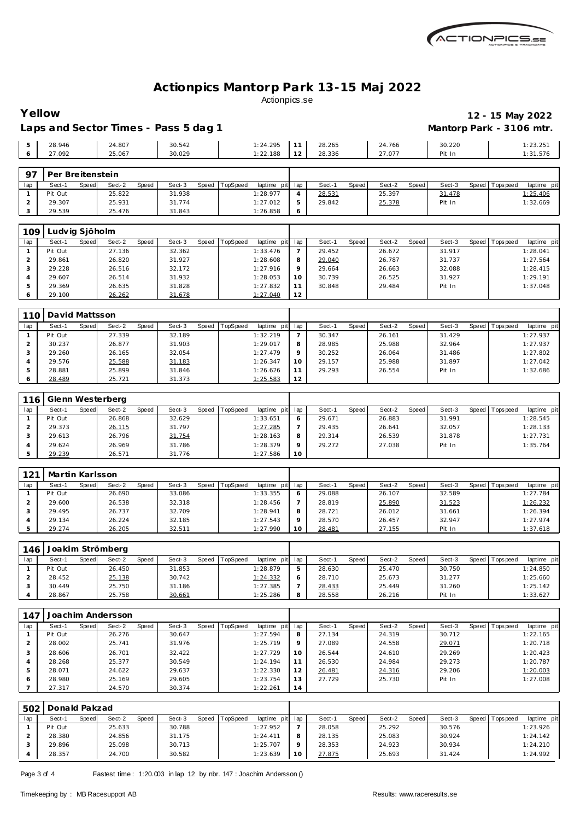

#### **Yellow 12 - 15 May 2022** Laps and Sector Times - Pass 5 dag 1 **Mantorp Park - 3106 mtr.**

|         |        |        |        |          |           |        |        | ______ |          |
|---------|--------|--------|--------|----------|-----------|--------|--------|--------|----------|
| ◡       | 28.946 | 24.807 | 30.542 | 1:24.295 | 77        | 28.265 | 24.766 | 30.220 | 1:23.251 |
| $\circ$ | 27.092 | 25.067 | 30.029 | 1:22.188 | 12<br>LZ. | 28.336 | 27.077 | Pit In | 1:31.576 |
|         |        |        |        |          |           |        |        |        |          |
|         |        |        |        |          |           |        |        |        |          |

| $\Omega$ | Per Breitenstein |       |        |       |        |       |          |          |         |        |       |        |       |        |                 |                 |
|----------|------------------|-------|--------|-------|--------|-------|----------|----------|---------|--------|-------|--------|-------|--------|-----------------|-----------------|
| lap      | Sect-1           | Speed | Sect-2 | Speed | Sect-3 | Speed | TopSpeed | laptime  | pit lap | Sect-1 | Speed | Sect-2 | Speed | Sect-3 | Speed Tops peed | pit<br>laptime  |
|          | Pit Out          |       | 25.822 |       | 31.938 |       |          | 1:28.977 |         | 28.531 |       | 25.397 |       | 31.478 |                 | <u>l:25.406</u> |
|          | 29.307           |       | 25.931 |       | 31.774 |       |          | 1:27.012 |         | 29.842 |       | 25.378 |       | Pit In |                 | 1:32.669        |
|          | 29.539           |       | 25.476 |       | 31.843 |       |          | 1:26.858 |         |        |       |        |       |        |                 |                 |

| 109 | ' udvig Sjöholm |       |        |       |        |       |                 |                |              |        |              |        |       |        |       |           |             |
|-----|-----------------|-------|--------|-------|--------|-------|-----------------|----------------|--------------|--------|--------------|--------|-------|--------|-------|-----------|-------------|
| lap | Sect-1          | Speed | Sect-2 | Speed | Sect-3 | Speed | <b>TopSpeed</b> | laptime<br>pit | lap          | Sect-1 | <b>Speed</b> | Sect-2 | Speed | Sect-3 | Speed | Tops peed | laptime pit |
|     | Pit Out         |       | 27.136 |       | 32.362 |       |                 | 1:33.476       |              | 29.452 |              | 26.672 |       | 31.917 |       |           | 1:28.041    |
|     | 29.861          |       | 26.820 |       | 31.927 |       |                 | 1:28.608       | $\circ$<br>Õ | 29.040 |              | 26.787 |       | 31.737 |       |           | 1:27.564    |
|     | 29.228          |       | 26.516 |       | 32.172 |       |                 | 1:27.916       |              | 29.664 |              | 26.663 |       | 32.088 |       |           | 1:28.415    |
| 4   | 29.607          |       | 26.514 |       | 31.932 |       |                 | 1:28.053       | 10           | 30.739 |              | 26.525 |       | 31.927 |       |           | 1:29.191    |
|     | 29.369          |       | 26.635 |       | 31.828 |       |                 | 1:27.832       |              | 30.848 |              | 29.484 |       | Pit In |       |           | 1:37.048    |
|     | 29.100          |       | 26.262 |       | 31.678 |       |                 | 1:27.040       | 12           |        |              |        |       |        |       |           |             |

| 110 | David Mattsson |       |        |       |        |       |                 |             |               |        |       |        |       |        |       |           |             |
|-----|----------------|-------|--------|-------|--------|-------|-----------------|-------------|---------------|--------|-------|--------|-------|--------|-------|-----------|-------------|
| lap | Sect-1         | Speed | Sect-2 | Speed | Sect-3 | Speed | <b>TopSpeed</b> | laptime pit | lap           | Sect-1 | Speed | Sect-2 | Speed | Sect-3 | Speed | Tops peed | laptime pit |
|     | Pit Out        |       | 27.339 |       | 32.189 |       |                 | 1:32.219    |               | 30.347 |       | 26.161 |       | 31.429 |       |           | 1:27.937    |
|     | 30.237         |       | 26.877 |       | 31.903 |       |                 | 1:29.017    | 8             | 28.985 |       | 25.988 |       | 32.964 |       |           | 1:27.937    |
|     | 29.260         |       | 26.165 |       | 32.054 |       |                 | 1:27.479    | Ω             | 30.252 |       | 26.064 |       | 31.486 |       |           | 1:27.802    |
|     | 29.576         |       | 25.588 |       | 31.183 |       |                 | 1:26.347    | 10            | 29.157 |       | 25.988 |       | 31.897 |       |           | 1:27.042    |
|     | 28.881         |       | 25.899 |       | 31.846 |       |                 | 1:26.626    | $\sim$ $\sim$ | 29.293 |       | 26.554 |       | Pit In |       |           | 1:32.686    |
|     | 28.489         |       | 25.721 |       | 31.373 |       |                 | 1:25.583    | 12            |        |       |        |       |        |       |           |             |

| 116 | Glenn Westerberg |       |        |       |        |       |          |             |         |        |       |        |       |        |       |           |             |
|-----|------------------|-------|--------|-------|--------|-------|----------|-------------|---------|--------|-------|--------|-------|--------|-------|-----------|-------------|
| lap | Sect-1           | Speed | Sect-2 | Speed | Sect-3 | Speed | TopSpeed | laptime pit | lap     | Sect-1 | Speed | Sect-2 | Speed | Sect-3 | Speed | Tops peed | laptime pit |
|     | Pit Out          |       | 26.868 |       | 32.629 |       |          | 1:33.651    | O       | 29.671 |       | 26.883 |       | 31.991 |       |           | 1:28.545    |
|     | 29.373           |       | 26.115 |       | 31.797 |       |          | 1:27.285    |         | 29.435 |       | 26.641 |       | 32.057 |       |           | 1:28.133    |
|     | 29.613           |       | 26.796 |       | 31.754 |       |          | 1:28.163    | 8       | 29.314 |       | 26.539 |       | 31.878 |       |           | 1:27.731    |
|     | 29.624           |       | 26.969 |       | 31.786 |       |          | 1:28.379    | $\circ$ | 29.272 |       | 27.038 |       | Pit In |       |           | 1:35.764    |
|     | 29.239           |       | 26.571 |       | 31.776 |       |          | 1:27.586    | 10      |        |       |        |       |        |       |           |             |

| 121 | Martin Karlsson |       |        |       |        |       |                 |                 |    |        |              |        |       |        |                 |             |
|-----|-----------------|-------|--------|-------|--------|-------|-----------------|-----------------|----|--------|--------------|--------|-------|--------|-----------------|-------------|
| lap | Sect-1          | Speed | Sect-2 | Speed | Sect-3 | Speed | <b>TopSpeed</b> | laptime pit lap |    | Sect-1 | <b>Speed</b> | Sect-2 | Speed | Sect-3 | Speed Tops peed | laptime pit |
|     | Pit Out         |       | 26.690 |       | 33.086 |       |                 | 1:33.355        |    | 29.088 |              | 26.107 |       | 32.589 |                 | 1:27.784    |
|     | 29.600          |       | 26.538 |       | 32.318 |       |                 | 1:28.456        |    | 28.819 |              | 25.890 |       | 31.523 |                 | 1:26.232    |
|     | 29.495          |       | 26.737 |       | 32.709 |       |                 | 1:28.941        |    | 28.721 |              | 26.012 |       | 31.661 |                 | 1:26.394    |
|     | 29.134          |       | 26.224 |       | 32.185 |       |                 | 1:27.543        |    | 28.570 |              | 26.457 |       | 32.947 |                 | 1:27.974    |
|     | 29.274          |       | 26.205 |       | 32.511 |       |                 | 1:27.990        | 10 | 28.481 |              | 27.155 |       | Pit In |                 | 1:37.618    |

| 146 |         |       | Joakim Strömberg |       |        |       |          |                 |        |       |        |         |        |         |             |             |
|-----|---------|-------|------------------|-------|--------|-------|----------|-----------------|--------|-------|--------|---------|--------|---------|-------------|-------------|
| lap | Sect-′  | Speed | Sect-2           | Speed | Sect-3 | Speed | TopSpeed | laptime pit lap | Sect-1 | Speed | Sect-2 | Speed I | Sect-3 | Speed I | T ops pee d | laptime pit |
|     | Pit Out |       | 26.450           |       | 31.853 |       |          | 1:28.879        | 28.630 |       | 25.470 |         | 30.750 |         |             | 1:24.850    |
|     | 28.452  |       | 25.138           |       | 30.742 |       |          | 1:24.332        | 28.710 |       | 25.673 |         | 31.277 |         |             | 1:25.660    |
|     | 30.449  |       | 25.750           |       | 31.186 |       |          | 1:27.385        | 28.433 |       | 25.449 |         | 31.260 |         |             | 1:25.142    |
|     | 28.867  |       | 25.758           |       | 30.661 |       |          | 1:25.286        | 28.558 |       | 26.216 |         | Pit In |         |             | 1:33.627    |

| 147 | Joachim Andersson |              |        |       |        |         |                 |             |          |        |       |        |       |        |                |             |
|-----|-------------------|--------------|--------|-------|--------|---------|-----------------|-------------|----------|--------|-------|--------|-------|--------|----------------|-------------|
| lap | Sect-1            | <b>Speed</b> | Sect-2 | Speed | Sect-3 | Speed T | <b>TopSpeed</b> | laptime pit | lap      | Sect-1 | Speed | Sect-2 | Speed | Sect-3 | Speed Topspeed | laptime pit |
|     | Pit Out           |              | 26.276 |       | 30.647 |         |                 | 1:27.594    | 8        | 27.134 |       | 24.319 |       | 30.712 |                | 1:22.165    |
|     | 28.002            |              | 25.741 |       | 31.976 |         |                 | 1:25.719    | $\Omega$ | 27.089 |       | 24.558 |       | 29.071 |                | 1:20.718    |
|     | 28.606            |              | 26.701 |       | 32.422 |         |                 | 1:27.729    | 10       | 26.544 |       | 24.610 |       | 29.269 |                | 1:20.423    |
|     | 28.268            |              | 25.377 |       | 30.549 |         |                 | 1:24.194    |          | 26.530 |       | 24.984 |       | 29.273 |                | 1:20.787    |
|     | 28.071            |              | 24.622 |       | 29.637 |         |                 | 1:22.330    | 12       | 26.481 |       | 24.316 |       | 29.206 |                | 1:20.003    |
|     | 28.980            |              | 25.169 |       | 29.605 |         |                 | 1:23.754    | 13       | 27.729 |       | 25.730 |       | Pit In |                | 1:27.008    |
|     | 27.317            |              | 24.570 |       | 30.374 |         |                 | 1:22.261    | 14       |        |       |        |       |        |                |             |

| 502 | Donald Pakzad |       |        |       |        |       |                 |             |     |        |       |        |       |        |       |            |             |
|-----|---------------|-------|--------|-------|--------|-------|-----------------|-------------|-----|--------|-------|--------|-------|--------|-------|------------|-------------|
| lap | Sect-1        | Speed | Sect-2 | Speed | Sect-3 | Speed | <b>TopSpeed</b> | laptime pit | lac | Sect-1 | Speed | Sect-2 | Speed | Sect-3 | Speed | Tops pee d | laptime pit |
|     | Pit Out       |       | 25.633 |       | 30.788 |       |                 | 1:27.952    |     | 28.058 |       | 25.292 |       | 30.576 |       |            | 1:23.926    |
|     | 28.380        |       | 24.856 |       | 31.175 |       |                 | 1:24.411    |     | 28.135 |       | 25.083 |       | 30.924 |       |            | 1:24.142    |
|     | 29.896        |       | 25.098 |       | 30.713 |       |                 | 1:25.707    |     | 28.353 |       | 24.923 |       | 30.934 |       |            | 1:24.210    |
|     | 28.357        |       | 24.700 |       | 30.582 |       |                 | 1:23.639    | 10  | 27.875 |       | 25.693 |       | 31.424 |       |            | 1:24.992    |

Page 3 of 4 Fastest time: 1:20.003 in lap 12 by nbr. 147 : Joachim Andersson ()